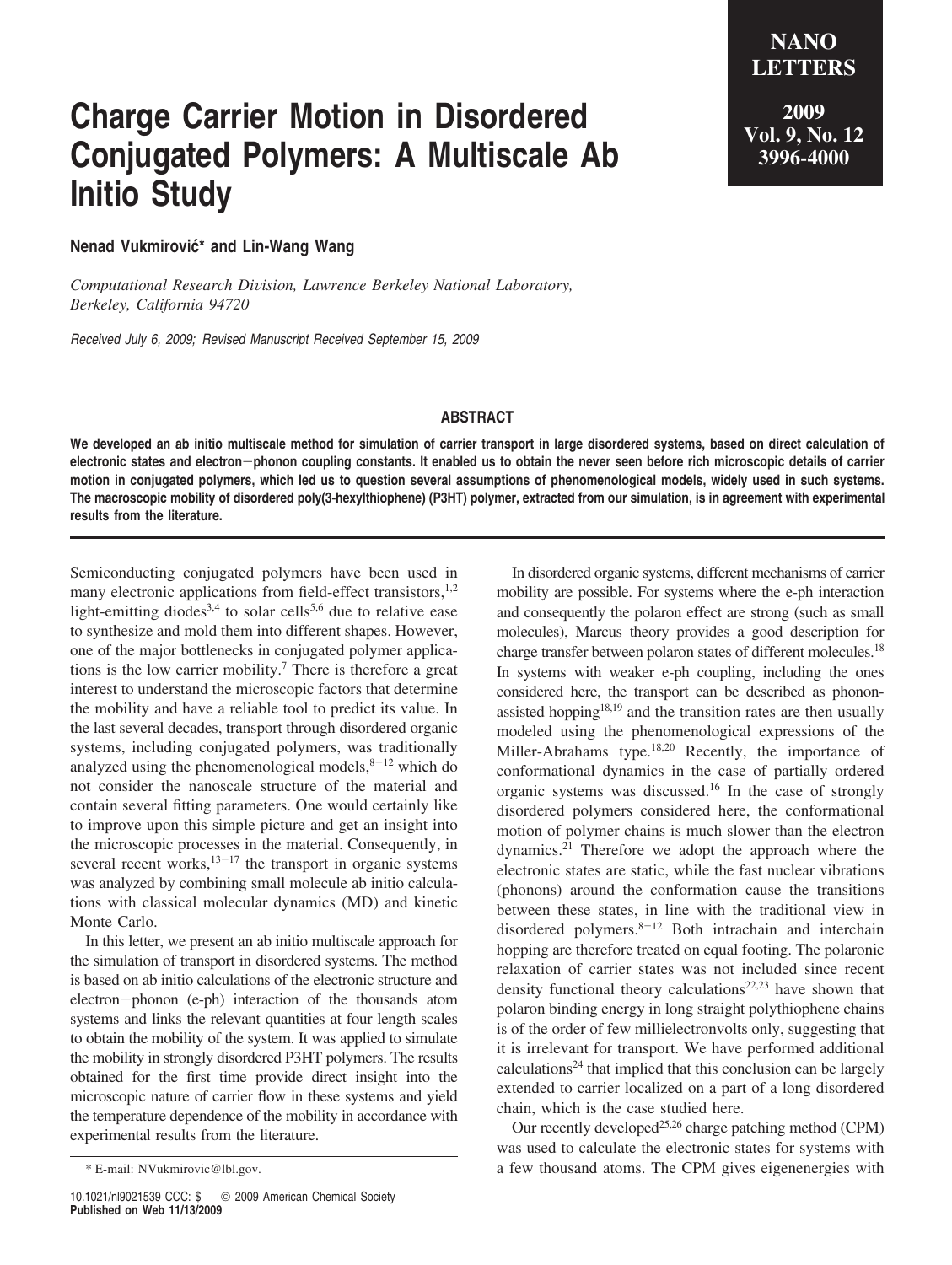## **Charge Carrier Motion in Disordered Conjugated Polymers: A Multiscale Ab Initio Study**

**LETTERS 2009 Vol. 9, No. 12 3996-4000**

**NANO**

**Nenad Vukmirović\* and Lin-Wang Wang** 

*Computational Research Di*V*ision, Lawrence Berkeley National Laboratory, Berkeley, California 94720*

*Received July 6, 2009; Revised Manuscript Received September 15, 2009*

## **ABSTRACT**

**We developed an ab initio multiscale method for simulation of carrier transport in large disordered systems, based on direct calculation of electronic states and electron**-**phonon coupling constants. It enabled us to obtain the never seen before rich microscopic details of carrier motion in conjugated polymers, which led us to question several assumptions of phenomenological models, widely used in such systems. The macroscopic mobility of disordered poly(3-hexylthiophene) (P3HT) polymer, extracted from our simulation, is in agreement with experimental results from the literature.**

Semiconducting conjugated polymers have been used in many electronic applications from field-effect transistors,<sup>1,2</sup> light-emitting diodes<sup>3,4</sup> to solar cells<sup>5,6</sup> due to relative ease to synthesize and mold them into different shapes. However, one of the major bottlenecks in conjugated polymer applications is the low carrier mobility.7 There is therefore a great interest to understand the microscopic factors that determine the mobility and have a reliable tool to predict its value. In the last several decades, transport through disordered organic systems, including conjugated polymers, was traditionally analyzed using the phenomenological models, $8-12$  which do not consider the nanoscale structure of the material and contain several fitting parameters. One would certainly like to improve upon this simple picture and get an insight into the microscopic processes in the material. Consequently, in several recent works, $13-17$  the transport in organic systems was analyzed by combining small molecule ab initio calculations with classical molecular dynamics (MD) and kinetic Monte Carlo.

In this letter, we present an ab initio multiscale approach for the simulation of transport in disordered systems. The method is based on ab initio calculations of the electronic structure and electron-phonon (e-ph) interaction of the thousands atom systems and links the relevant quantities at four length scales to obtain the mobility of the system. It was applied to simulate the mobility in strongly disordered P3HT polymers. The results obtained for the first time provide direct insight into the microscopic nature of carrier flow in these systems and yield the temperature dependence of the mobility in accordance with experimental results from the literature.

In disordered organic systems, different mechanisms of carrier mobility are possible. For systems where the e-ph interaction and consequently the polaron effect are strong (such as small molecules), Marcus theory provides a good description for charge transfer between polaron states of different molecules.18 In systems with weaker e-ph coupling, including the ones considered here, the transport can be described as phononassisted hopping $18,19$  and the transition rates are then usually modeled using the phenomenological expressions of the Miller-Abrahams type.<sup>18,20</sup> Recently, the importance of conformational dynamics in the case of partially ordered organic systems was discussed.16 In the case of strongly disordered polymers considered here, the conformational motion of polymer chains is much slower than the electron dynamics.21 Therefore we adopt the approach where the electronic states are static, while the fast nuclear vibrations (phonons) around the conformation cause the transitions between these states, in line with the traditional view in disordered polymers.<sup>8-12</sup> Both intrachain and interchain hopping are therefore treated on equal footing. The polaronic relaxation of carrier states was not included since recent density functional theory calculations<sup>22,23</sup> have shown that polaron binding energy in long straight polythiophene chains is of the order of few millielectronvolts only, suggesting that it is irrelevant for transport. We have performed additional  $cal$  calculations<sup>24</sup> that implied that this conclusion can be largely extended to carrier localized on a part of a long disordered chain, which is the case studied here.

Our recently developed<sup>25,26</sup> charge patching method (CPM) was used to calculate the electronic states for systems with \* E-mail: NVukmirovic@lbl.gov. a few thousand atoms. The CPM gives eigenenergies with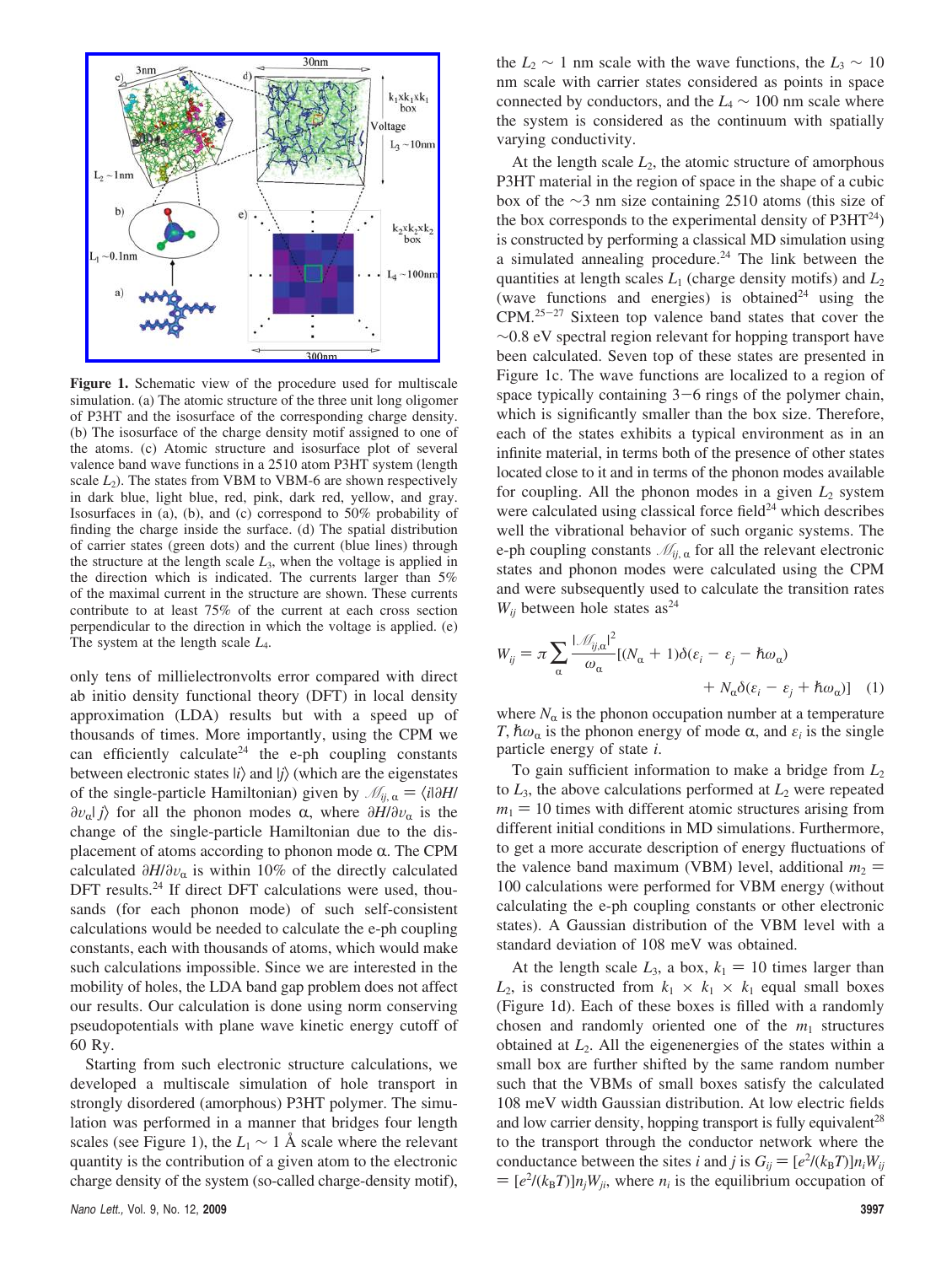

**Figure 1.** Schematic view of the procedure used for multiscale simulation. (a) The atomic structure of the three unit long oligomer of P3HT and the isosurface of the corresponding charge density. (b) The isosurface of the charge density motif assigned to one of the atoms. (c) Atomic structure and isosurface plot of several valence band wave functions in a 2510 atom P3HT system (length scale  $L_2$ ). The states from VBM to VBM-6 are shown respectively in dark blue, light blue, red, pink, dark red, yellow, and gray. Isosurfaces in (a), (b), and (c) correspond to 50% probability of finding the charge inside the surface. (d) The spatial distribution of carrier states (green dots) and the current (blue lines) through the structure at the length scale  $L_3$ , when the voltage is applied in the direction which is indicated. The currents larger than 5% of the maximal current in the structure are shown. These currents contribute to at least 75% of the current at each cross section perpendicular to the direction in which the voltage is applied. (e) The system at the length scale *L*4.

only tens of millielectronvolts error compared with direct ab initio density functional theory (DFT) in local density approximation (LDA) results but with a speed up of thousands of times. More importantly, using the CPM we can efficiently calculate<sup>24</sup> the e-ph coupling constants between electronic states  $|i\rangle$  and  $|j\rangle$  (which are the eigenstates of the single-particle Hamiltonian) given by  $\mathcal{M}_{ij, \alpha} = \langle i | \partial H |$  $\partial v_{\alpha}$ | *j*) for all the phonon modes α, where  $\partial H/\partial v_{\alpha}$  is the change of the single-particle Hamiltonian due to the displacement of atoms according to phonon mode  $\alpha$ . The CPM calculated  $\partial H/\partial v_\alpha$  is within 10% of the directly calculated DFT results.<sup>24</sup> If direct DFT calculations were used, thousands (for each phonon mode) of such self-consistent calculations would be needed to calculate the e-ph coupling constants, each with thousands of atoms, which would make such calculations impossible. Since we are interested in the mobility of holes, the LDA band gap problem does not affect our results. Our calculation is done using norm conserving pseudopotentials with plane wave kinetic energy cutoff of 60 Ry.

Starting from such electronic structure calculations, we developed a multiscale simulation of hole transport in strongly disordered (amorphous) P3HT polymer. The simulation was performed in a manner that bridges four length scales (see Figure 1), the  $L_1 \sim 1$  Å scale where the relevant quantity is the contribution of a given atom to the electronic charge density of the system (so-called charge-density motif), the  $L_2 \sim 1$  nm scale with the wave functions, the  $L_3 \sim 10$ nm scale with carrier states considered as points in space connected by conductors, and the *L*<sup>4</sup> ∼ 100 nm scale where the system is considered as the continuum with spatially varying conductivity.

At the length scale  $L_2$ , the atomic structure of amorphous P3HT material in the region of space in the shape of a cubic box of the ∼3 nm size containing 2510 atoms (this size of the box corresponds to the experimental density of  $P3HT^{24}$ ) is constructed by performing a classical MD simulation using a simulated annealing procedure.<sup>24</sup> The link between the quantities at length scales *L*<sup>1</sup> (charge density motifs) and *L*<sup>2</sup> (wave functions and energies) is obtained<sup>24</sup> using the  $CPM.<sup>25-27</sup>$  Sixteen top valence band states that cover the  $~\sim$ 0.8 eV spectral region relevant for hopping transport have been calculated. Seven top of these states are presented in Figure 1c. The wave functions are localized to a region of space typically containing  $3-6$  rings of the polymer chain, which is significantly smaller than the box size. Therefore, each of the states exhibits a typical environment as in an infinite material, in terms both of the presence of other states located close to it and in terms of the phonon modes available for coupling. All the phonon modes in a given *L*<sup>2</sup> system were calculated using classical force field $^{24}$  which describes well the vibrational behavior of such organic systems. The e-ph coupling constants  $\mathcal{M}_{ij, \alpha}$  for all the relevant electronic states and phonon modes were calculated using the CPM and were subsequently used to calculate the transition rates  $W_{ij}$  between hole states as<sup>24</sup>

$$
W_{ij} = \pi \sum_{\alpha} \frac{|\mathcal{M}_{ij,\alpha}|^2}{\omega_{\alpha}} [(N_{\alpha} + 1)\delta(\varepsilon_i - \varepsilon_j - \hbar\omega_{\alpha}) + N_{\alpha}\delta(\varepsilon_i - \varepsilon_j + \hbar\omega_{\alpha})]
$$
 (1)

where  $N_\alpha$  is the phonon occupation number at a temperature *T*,  $\hbar \omega_\alpha$  is the phonon energy of mode  $\alpha$ , and  $\varepsilon_i$  is the single particle energy of state *i*.

To gain sufficient information to make a bridge from *L*<sup>2</sup> to  $L_3$ , the above calculations performed at  $L_2$  were repeated  $m_1 = 10$  times with different atomic structures arising from different initial conditions in MD simulations. Furthermore, to get a more accurate description of energy fluctuations of the valence band maximum (VBM) level, additional  $m_2$  = 100 calculations were performed for VBM energy (without calculating the e-ph coupling constants or other electronic states). A Gaussian distribution of the VBM level with a standard deviation of 108 meV was obtained.

At the length scale  $L_3$ , a box,  $k_1 = 10$  times larger than  $L_2$ , is constructed from  $k_1 \times k_1 \times k_1$  equal small boxes (Figure 1d). Each of these boxes is filled with a randomly chosen and randomly oriented one of the  $m_1$  structures obtained at *L*2. All the eigenenergies of the states within a small box are further shifted by the same random number such that the VBMs of small boxes satisfy the calculated 108 meV width Gaussian distribution. At low electric fields and low carrier density, hopping transport is fully equivalent<sup>28</sup> to the transport through the conductor network where the conductance between the sites *i* and *j* is  $G_{ij} = [e^2/(k_B T)]n_iW_{ij}$ <br>=  $[e^2/(k_B T)]n_iW_{ij}$ , where *n* is the equilibrium occupation of  $= [e^2/(k_B T)] n_j W_{ji}$ , where  $n_i$  is the equilibrium occupation of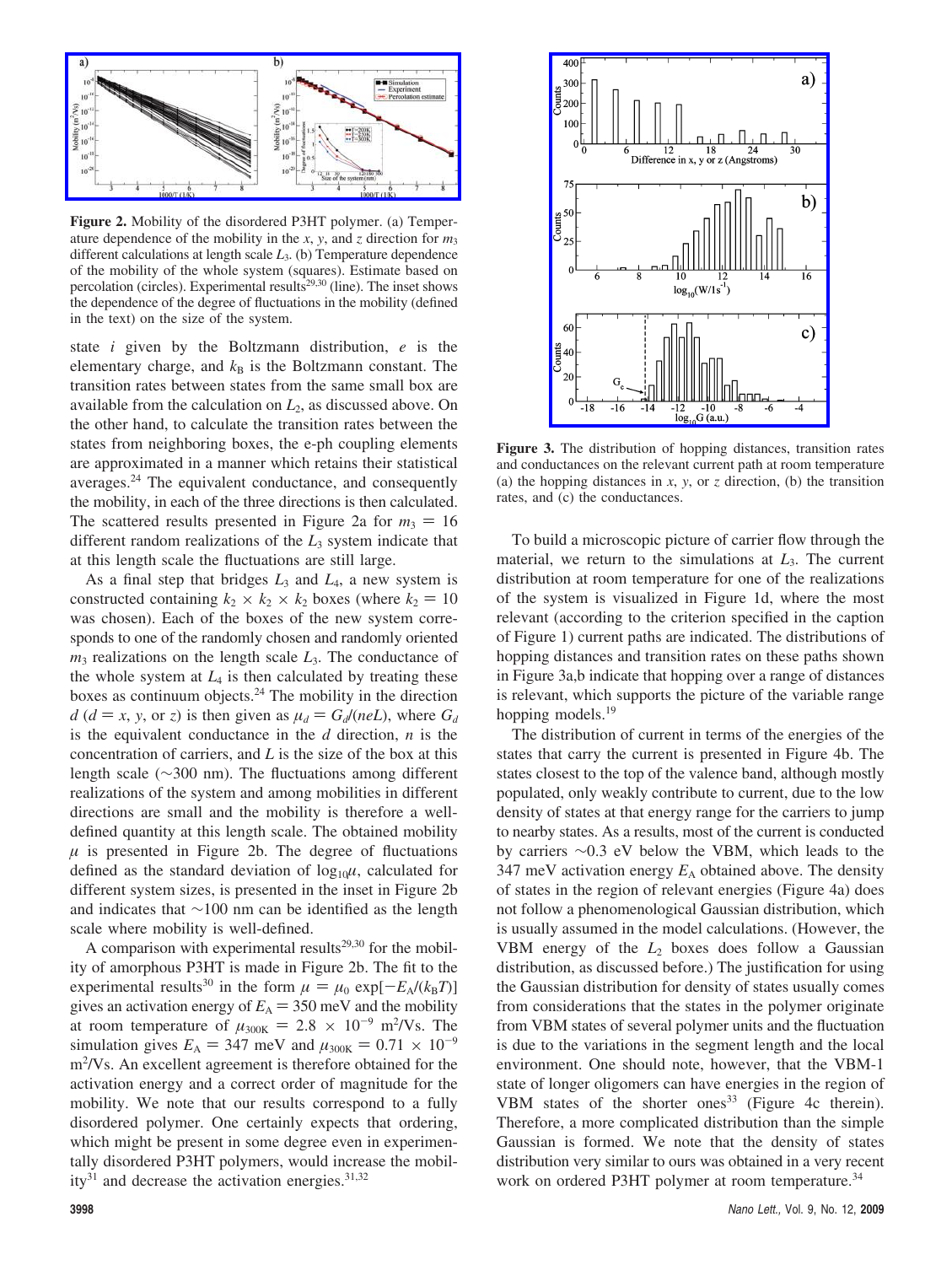

**Figure 2.** Mobility of the disordered P3HT polymer. (a) Temperature dependence of the mobility in the *x*, *y*, and *z* direction for  $m_3$ different calculations at length scale *L*3. (b) Temperature dependence of the mobility of the whole system (squares). Estimate based on percolation (circles). Experimental results<sup>29,30</sup> (line). The inset shows the dependence of the degree of fluctuations in the mobility (defined in the text) on the size of the system.

state *i* given by the Boltzmann distribution, *e* is the elementary charge, and  $k<sub>B</sub>$  is the Boltzmann constant. The transition rates between states from the same small box are available from the calculation on *L*2, as discussed above. On the other hand, to calculate the transition rates between the states from neighboring boxes, the e-ph coupling elements are approximated in a manner which retains their statistical averages.24 The equivalent conductance, and consequently the mobility, in each of the three directions is then calculated. The scattered results presented in Figure 2a for  $m_3 = 16$ different random realizations of the *L*<sup>3</sup> system indicate that at this length scale the fluctuations are still large.

As a final step that bridges *L*<sup>3</sup> and *L*4, a new system is constructed containing  $k_2 \times k_2 \times k_2$  boxes (where  $k_2 = 10$ was chosen). Each of the boxes of the new system corresponds to one of the randomly chosen and randomly oriented *m*<sub>3</sub> realizations on the length scale *L*<sub>3</sub>. The conductance of the whole system at  $L_4$  is then calculated by treating these boxes as continuum objects.24 The mobility in the direction  $d$  ( $d = x$ , *y*, or *z*) is then given as  $\mu_d = G_d/(neL)$ , where  $G_d$ is the equivalent conductance in the *d* direction, *n* is the concentration of carriers, and *L* is the size of the box at this length scale (∼300 nm). The fluctuations among different realizations of the system and among mobilities in different directions are small and the mobility is therefore a welldefined quantity at this length scale. The obtained mobility  $\mu$  is presented in Figure 2b. The degree of fluctuations defined as the standard deviation of  $log_{10}\mu$ , calculated for different system sizes, is presented in the inset in Figure 2b and indicates that ∼100 nm can be identified as the length scale where mobility is well-defined.

A comparison with experimental results<sup>29,30</sup> for the mobility of amorphous P3HT is made in Figure 2b. The fit to the experimental results<sup>30</sup> in the form  $\mu = \mu_0 \exp[-E_A/(k_B T)]$ gives an activation energy of  $E_A = 350$  meV and the mobility at room temperature of  $\mu_{300K} = 2.8 \times 10^{-9}$  m<sup>2</sup>/Vs. The<br>simulation gives  $F_1 = 347$  meV and  $\mu_{200K} = 0.71 \times 10^{-9}$ simulation gives  $E_A = 347$  meV and  $\mu_{300K} = 0.71 \times 10^{-9}$ m<sup>2</sup>/Vs. An excellent agreement is therefore obtained for the activation energy and a correct order of magnitude for the mobility. We note that our results correspond to a fully disordered polymer. One certainly expects that ordering, which might be present in some degree even in experimentally disordered P3HT polymers, would increase the mobility $31$  and decrease the activation energies. $31,32$ 



**Figure 3.** The distribution of hopping distances, transition rates and conductances on the relevant current path at room temperature (a) the hopping distances in  $x$ ,  $y$ , or  $z$  direction, (b) the transition rates, and (c) the conductances.

To build a microscopic picture of carrier flow through the material, we return to the simulations at *L*3. The current distribution at room temperature for one of the realizations of the system is visualized in Figure 1d, where the most relevant (according to the criterion specified in the caption of Figure 1) current paths are indicated. The distributions of hopping distances and transition rates on these paths shown in Figure 3a,b indicate that hopping over a range of distances is relevant, which supports the picture of the variable range hopping models.<sup>19</sup>

The distribution of current in terms of the energies of the states that carry the current is presented in Figure 4b. The states closest to the top of the valence band, although mostly populated, only weakly contribute to current, due to the low density of states at that energy range for the carriers to jump to nearby states. As a results, most of the current is conducted by carriers ∼0.3 eV below the VBM, which leads to the 347 meV activation energy  $E_A$  obtained above. The density of states in the region of relevant energies (Figure 4a) does not follow a phenomenological Gaussian distribution, which is usually assumed in the model calculations. (However, the VBM energy of the *L*<sup>2</sup> boxes does follow a Gaussian distribution, as discussed before.) The justification for using the Gaussian distribution for density of states usually comes from considerations that the states in the polymer originate from VBM states of several polymer units and the fluctuation is due to the variations in the segment length and the local environment. One should note, however, that the VBM-1 state of longer oligomers can have energies in the region of VBM states of the shorter ones<sup>33</sup> (Figure 4c therein). Therefore, a more complicated distribution than the simple Gaussian is formed. We note that the density of states distribution very similar to ours was obtained in a very recent work on ordered P3HT polymer at room temperature.<sup>34</sup>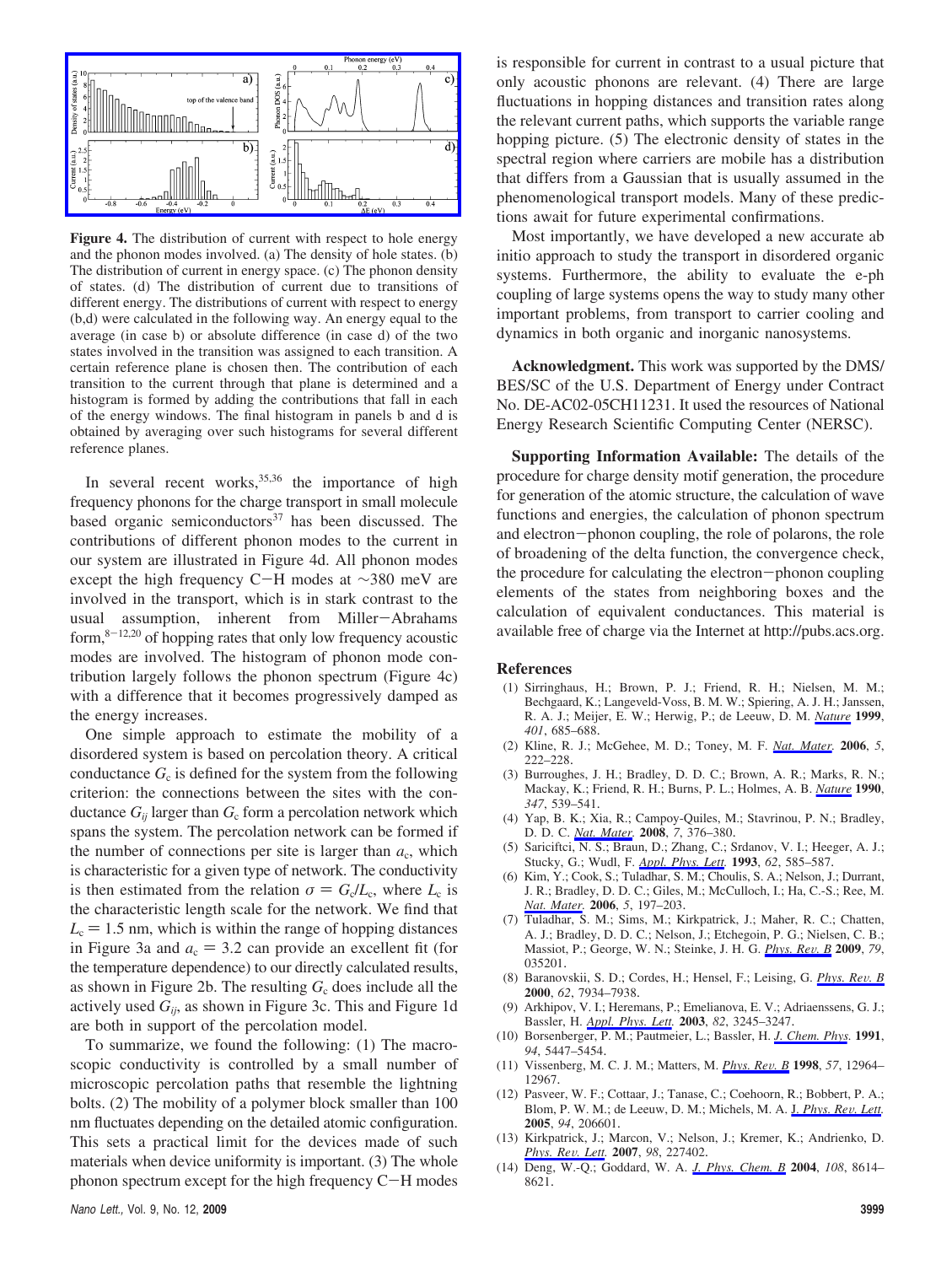

**Figure 4.** The distribution of current with respect to hole energy and the phonon modes involved. (a) The density of hole states. (b) The distribution of current in energy space. (c) The phonon density of states. (d) The distribution of current due to transitions of different energy. The distributions of current with respect to energy (b,d) were calculated in the following way. An energy equal to the average (in case b) or absolute difference (in case d) of the two states involved in the transition was assigned to each transition. A certain reference plane is chosen then. The contribution of each transition to the current through that plane is determined and a histogram is formed by adding the contributions that fall in each of the energy windows. The final histogram in panels b and d is obtained by averaging over such histograms for several different reference planes.

In several recent works,  $35,36$  the importance of high frequency phonons for the charge transport in small molecule based organic semiconductors $37$  has been discussed. The contributions of different phonon modes to the current in our system are illustrated in Figure 4d. All phonon modes except the high frequency C-H modes at <sup>∼</sup>380 meV are involved in the transport, which is in stark contrast to the usual assumption, inherent from Miller-Abrahams form, $8-12,20$  of hopping rates that only low frequency acoustic modes are involved. The histogram of phonon mode contribution largely follows the phonon spectrum (Figure 4c) with a difference that it becomes progressively damped as the energy increases.

One simple approach to estimate the mobility of a disordered system is based on percolation theory. A critical conductance  $G_c$  is defined for the system from the following criterion: the connections between the sites with the conductance  $G_{ij}$  larger than  $G_c$  form a percolation network which spans the system. The percolation network can be formed if the number of connections per site is larger than  $a_c$ , which is characteristic for a given type of network. The conductivity is then estimated from the relation  $\sigma = G_c/L_c$ , where  $L_c$  is the characteristic length scale for the network. We find that  $L<sub>c</sub> = 1.5$  nm, which is within the range of hopping distances in Figure 3a and  $a_c = 3.2$  can provide an excellent fit (for the temperature dependence) to our directly calculated results, as shown in Figure 2b. The resulting  $G_c$  does include all the actively used *Gij*, as shown in Figure 3c. This and Figure 1d are both in support of the percolation model.

To summarize, we found the following: (1) The macroscopic conductivity is controlled by a small number of microscopic percolation paths that resemble the lightning bolts. (2) The mobility of a polymer block smaller than 100 nm fluctuates depending on the detailed atomic configuration. This sets a practical limit for the devices made of such materials when device uniformity is important. (3) The whole phonon spectrum except for the high frequency C-H modes is responsible for current in contrast to a usual picture that only acoustic phonons are relevant. (4) There are large fluctuations in hopping distances and transition rates along the relevant current paths, which supports the variable range hopping picture. (5) The electronic density of states in the spectral region where carriers are mobile has a distribution that differs from a Gaussian that is usually assumed in the phenomenological transport models. Many of these predictions await for future experimental confirmations.

Most importantly, we have developed a new accurate ab initio approach to study the transport in disordered organic systems. Furthermore, the ability to evaluate the e-ph coupling of large systems opens the way to study many other important problems, from transport to carrier cooling and dynamics in both organic and inorganic nanosystems.

**Acknowledgment.** This work was supported by the DMS/ BES/SC of the U.S. Department of Energy under Contract No. DE-AC02-05CH11231. It used the resources of National Energy Research Scientific Computing Center (NERSC).

**Supporting Information Available:** The details of the procedure for charge density motif generation, the procedure for generation of the atomic structure, the calculation of wave functions and energies, the calculation of phonon spectrum and electron-phonon coupling, the role of polarons, the role of broadening of the delta function, the convergence check, the procedure for calculating the electron-phonon coupling elements of the states from neighboring boxes and the calculation of equivalent conductances. This material is available free of charge via the Internet at http://pubs.acs.org.

## **References**

- (1) Sirringhaus, H.; Brown, P. J.; Friend, R. H.; Nielsen, M. M.; Bechgaard, K.; Langeveld-Voss, B. M. W.; Spiering, A. J. H.; Janssen, R. A. J.; Meijer, E. W.; Herwig, P.; de Leeuw, D. M. *Nature* **1999**, *401*, 685–688.
- (2) Kline, R. J.; McGehee, M. D.; Toney, M. F. *Nat. Mater.* **2006**, *5*, 222–228.
- (3) Burroughes, J. H.; Bradley, D. D. C.; Brown, A. R.; Marks, R. N.; Mackay, K.; Friend, R. H.; Burns, P. L.; Holmes, A. B. *Nature* **1990**, *347*, 539–541.
- (4) Yap, B. K.; Xia, R.; Campoy-Quiles, M.; Stavrinou, P. N.; Bradley, D. D. C. *Nat. Mater.* **2008**, *7*, 376–380.
- (5) Sariciftci, N. S.; Braun, D.; Zhang, C.; Srdanov, V. I.; Heeger, A. J.; Stucky, G.; Wudl, F. *Appl. Phys. Lett.* **1993**, *62*, 585–587.
- (6) Kim, Y.; Cook, S.; Tuladhar, S. M.; Choulis, S. A.; Nelson, J.; Durrant, J. R.; Bradley, D. D. C.; Giles, M.; McCulloch, I.; Ha, C.-S.; Ree, M. *Nat. Mater.* **2006**, *5*, 197–203.
- (7) Tuladhar, S. M.; Sims, M.; Kirkpatrick, J.; Maher, R. C.; Chatten, A. J.; Bradley, D. D. C.; Nelson, J.; Etchegoin, P. G.; Nielsen, C. B.; Massiot, P.; George, W. N.; Steinke, J. H. G. *Phys. Re*V*. B* **<sup>2009</sup>**, *<sup>79</sup>*, 035201.
- (8) Baranovskii, S. D.; Cordes, H.; Hensel, F.; Leising, G. *Phys. Re*V*. B* **2000**, *62*, 7934–7938.
- (9) Arkhipov, V. I.; Heremans, P.; Emelianova, E. V.; Adriaenssens, G. J.; Bassler, H. *Appl. Phys. Lett.* **2003**, *82*, 3245–3247.
- (10) Borsenberger, P. M.; Pautmeier, L.; Bassler, H. *J. Chem. Phys.* **1991**, *94*, 5447–5454.
- (11) Vissenberg, M. C. J. M.; Matters, M. *Phys. Re*V*. B* **<sup>1998</sup>**, *<sup>57</sup>*, 12964– 12967.
- (12) Pasveer, W. F.; Cottaar, J.; Tanase, C.; Coehoorn, R.; Bobbert, P. A.; Blom, P. W. M.; de Leeuw, D. M.; Michels, M. A. J. *Phys. Rev. Lett.* **2005**, *94*, 206601.
- (13) Kirkpatrick, J.; Marcon, V.; Nelson, J.; Kremer, K.; Andrienko, D. *Phys. Re*V*. Lett.* **<sup>2007</sup>**, *<sup>98</sup>*, 227402.
- (14) Deng, W.-Q.; Goddard, W. A. *J. Phys. Chem. B* **2004**, *108*, 8614– 8621.